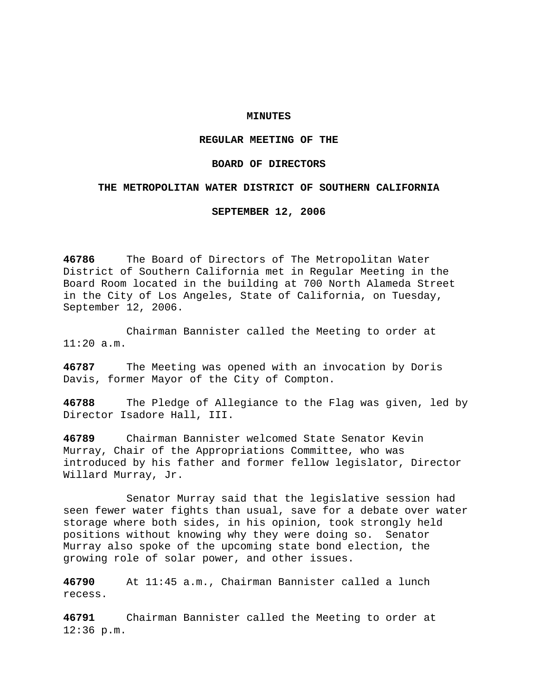## **MINUTES**

# **REGULAR MEETING OF THE**

## **BOARD OF DIRECTORS**

## **THE METROPOLITAN WATER DISTRICT OF SOUTHERN CALIFORNIA**

**SEPTEMBER 12, 2006** 

**46786** The Board of Directors of The Metropolitan Water District of Southern California met in Regular Meeting in the Board Room located in the building at 700 North Alameda Street in the City of Los Angeles, State of California, on Tuesday, September 12, 2006.

 Chairman Bannister called the Meeting to order at 11:20 a.m.

**46787** The Meeting was opened with an invocation by Doris Davis, former Mayor of the City of Compton.

**46788** The Pledge of Allegiance to the Flag was given, led by Director Isadore Hall, III.

**46789** Chairman Bannister welcomed State Senator Kevin Murray, Chair of the Appropriations Committee, who was introduced by his father and former fellow legislator, Director Willard Murray, Jr.

 Senator Murray said that the legislative session had seen fewer water fights than usual, save for a debate over water storage where both sides, in his opinion, took strongly held positions without knowing why they were doing so. Senator Murray also spoke of the upcoming state bond election, the growing role of solar power, and other issues.

**46790** At 11:45 a.m., Chairman Bannister called a lunch recess.

**46791** Chairman Bannister called the Meeting to order at 12:36 p.m.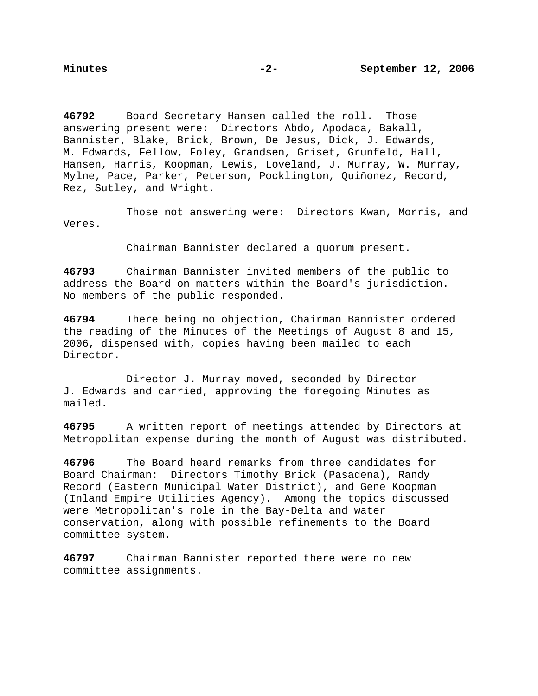**46792** Board Secretary Hansen called the roll. Those answering present were: Directors Abdo, Apodaca, Bakall, Bannister, Blake, Brick, Brown, De Jesus, Dick, J. Edwards, M. Edwards, Fellow, Foley, Grandsen, Griset, Grunfeld, Hall, Hansen, Harris, Koopman, Lewis, Loveland, J. Murray, W. Murray, Mylne, Pace, Parker, Peterson, Pocklington, Quiñonez, Record, Rez, Sutley, and Wright.

 Those not answering were: Directors Kwan, Morris, and Veres.

Chairman Bannister declared a quorum present.

**46793** Chairman Bannister invited members of the public to address the Board on matters within the Board's jurisdiction. No members of the public responded.

**46794** There being no objection, Chairman Bannister ordered the reading of the Minutes of the Meetings of August 8 and 15, 2006, dispensed with, copies having been mailed to each Director.

 Director J. Murray moved, seconded by Director J. Edwards and carried, approving the foregoing Minutes as mailed.

**46795** A written report of meetings attended by Directors at Metropolitan expense during the month of August was distributed.

**46796** The Board heard remarks from three candidates for Board Chairman: Directors Timothy Brick (Pasadena), Randy Record (Eastern Municipal Water District), and Gene Koopman (Inland Empire Utilities Agency). Among the topics discussed were Metropolitan's role in the Bay-Delta and water conservation, along with possible refinements to the Board committee system.

**46797** Chairman Bannister reported there were no new committee assignments.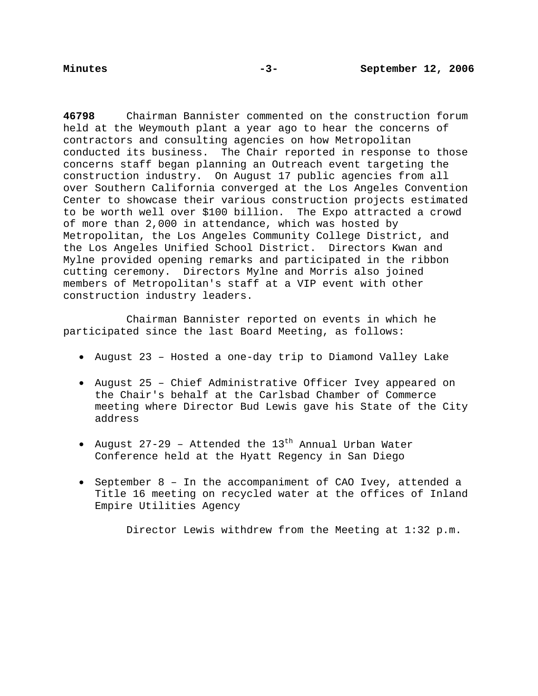**46798** Chairman Bannister commented on the construction forum held at the Weymouth plant a year ago to hear the concerns of contractors and consulting agencies on how Metropolitan conducted its business. The Chair reported in response to those concerns staff began planning an Outreach event targeting the construction industry. On August 17 public agencies from all over Southern California converged at the Los Angeles Convention Center to showcase their various construction projects estimated to be worth well over \$100 billion. The Expo attracted a crowd of more than 2,000 in attendance, which was hosted by Metropolitan, the Los Angeles Community College District, and the Los Angeles Unified School District. Directors Kwan and Mylne provided opening remarks and participated in the ribbon cutting ceremony. Directors Mylne and Morris also joined members of Metropolitan's staff at a VIP event with other construction industry leaders.

Chairman Bannister reported on events in which he participated since the last Board Meeting, as follows:

- August 23 Hosted a one-day trip to Diamond Valley Lake
- August 25 Chief Administrative Officer Ivey appeared on the Chair's behalf at the Carlsbad Chamber of Commerce meeting where Director Bud Lewis gave his State of the City address
- August 27-29 Attended the  $13^{\text{th}}$  Annual Urban Water Conference held at the Hyatt Regency in San Diego
- September 8 In the accompaniment of CAO Ivey, attended a Title 16 meeting on recycled water at the offices of Inland Empire Utilities Agency

Director Lewis withdrew from the Meeting at 1:32 p.m.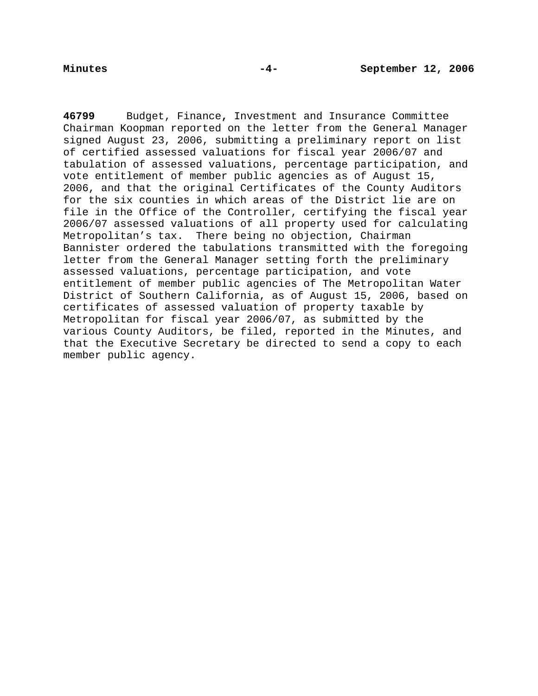**46799** Budget, Finance**,** Investment and Insurance Committee Chairman Koopman reported on the letter from the General Manager signed August 23, 2006, submitting a preliminary report on list of certified assessed valuations for fiscal year 2006/07 and tabulation of assessed valuations, percentage participation, and vote entitlement of member public agencies as of August 15, 2006, and that the original Certificates of the County Auditors for the six counties in which areas of the District lie are on file in the Office of the Controller, certifying the fiscal year 2006/07 assessed valuations of all property used for calculating Metropolitan's tax. There being no objection, Chairman Bannister ordered the tabulations transmitted with the foregoing letter from the General Manager setting forth the preliminary assessed valuations, percentage participation, and vote entitlement of member public agencies of The Metropolitan Water District of Southern California, as of August 15, 2006, based on certificates of assessed valuation of property taxable by Metropolitan for fiscal year 2006/07, as submitted by the various County Auditors, be filed, reported in the Minutes, and that the Executive Secretary be directed to send a copy to each member public agency.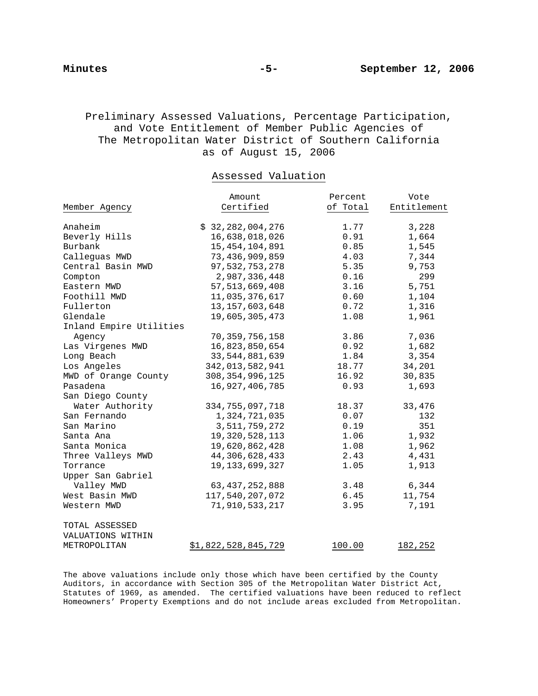# Preliminary Assessed Valuations, Percentage Participation, and Vote Entitlement of Member Public Agencies of The Metropolitan Water District of Southern California as of August 15, 2006

# Assessed Valuation

|                         | Amount                     | Percent  | Vote        |
|-------------------------|----------------------------|----------|-------------|
| Member Agency           | Certified                  | of Total | Entitlement |
|                         |                            |          |             |
| Anaheim                 | \$32, 282, 004, 276        | 1.77     | 3,228       |
| Beverly Hills           | 16,638,018,026             | 0.91     | 1,664       |
| Burbank                 | 15, 454, 104, 891          | 0.85     | 1,545       |
| Callequas MWD           | 73,436,909,859             | 4.03     | 7,344       |
| Central Basin MWD       | 97,532,753,278             | 5.35     | 9,753       |
| Compton                 | 2,987,336,448              | 0.16     | 299         |
| Eastern MWD             | 57, 513, 669, 408          | 3.16     | 5,751       |
| Foothill MWD            | 11,035,376,617             | 0.60     | 1,104       |
| Fullerton               | 13, 157, 603, 648          | 0.72     | 1,316       |
| Glendale                | 19,605,305,473             | 1.08     | 1,961       |
| Inland Empire Utilities |                            |          |             |
| Agency                  | 70, 359, 756, 158          | 3.86     | 7,036       |
| Las Virgenes MWD        | 16,823,850,654             | 0.92     | 1,682       |
| Long Beach              | 33, 544, 881, 639          | 1.84     | 3,354       |
| Los Angeles             | 342,013,582,941            | 18.77    | 34,201      |
| MWD of Orange County    | 308, 354, 996, 125         | 16.92    | 30,835      |
| Pasadena                | 16,927,406,785             | 0.93     | 1,693       |
| San Diego County        |                            |          |             |
| Water Authority         | 334, 755, 097, 718         | 18.37    | 33,476      |
| San Fernando            | 1,324,721,035              | 0.07     | 132         |
| San Marino              | 3,511,759,272              | 0.19     | 351         |
| Santa Ana               | 19, 320, 528, 113          | 1.06     | 1,932       |
| Santa Monica            | 19,620,862,428             | 1.08     | 1,962       |
| Three Valleys MWD       | 44, 306, 628, 433          | 2.43     | 4,431       |
| Torrance                | 19, 133, 699, 327          | 1.05     | 1,913       |
| Upper San Gabriel       |                            |          |             |
| Valley MWD              | 63, 437, 252, 888          | 3.48     | 6,344       |
| West Basin MWD          | 117,540,207,072            | 6.45     | 11,754      |
| Western MWD             | 71,910,533,217             | 3.95     | 7,191       |
| TOTAL ASSESSED          |                            |          |             |
| VALUATIONS WITHIN       |                            |          |             |
| METROPOLITAN            | <u>\$1,822,528,845,729</u> | 100.00   | 182,252     |

The above valuations include only those which have been certified by the County Auditors, in accordance with Section 305 of the Metropolitan Water District Act, Statutes of 1969, as amended. The certified valuations have been reduced to reflect Homeowners' Property Exemptions and do not include areas excluded from Metropolitan.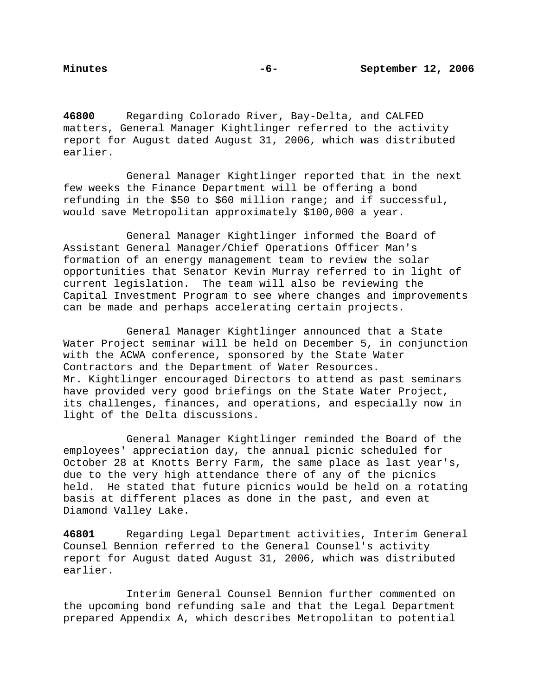**46800** Regarding Colorado River, Bay-Delta, and CALFED matters, General Manager Kightlinger referred to the activity report for August dated August 31, 2006, which was distributed earlier.

 General Manager Kightlinger reported that in the next few weeks the Finance Department will be offering a bond refunding in the \$50 to \$60 million range; and if successful, would save Metropolitan approximately \$100,000 a year.

 General Manager Kightlinger informed the Board of Assistant General Manager/Chief Operations Officer Man's formation of an energy management team to review the solar opportunities that Senator Kevin Murray referred to in light of current legislation. The team will also be reviewing the Capital Investment Program to see where changes and improvements can be made and perhaps accelerating certain projects.

 General Manager Kightlinger announced that a State Water Project seminar will be held on December 5, in conjunction with the ACWA conference, sponsored by the State Water Contractors and the Department of Water Resources. Mr. Kightlinger encouraged Directors to attend as past seminars have provided very good briefings on the State Water Project, its challenges, finances, and operations, and especially now in light of the Delta discussions.

 General Manager Kightlinger reminded the Board of the employees' appreciation day, the annual picnic scheduled for October 28 at Knotts Berry Farm, the same place as last year's, due to the very high attendance there of any of the picnics held. He stated that future picnics would be held on a rotating basis at different places as done in the past, and even at Diamond Valley Lake.

**46801** Regarding Legal Department activities, Interim General Counsel Bennion referred to the General Counsel's activity report for August dated August 31, 2006, which was distributed earlier.

Interim General Counsel Bennion further commented on the upcoming bond refunding sale and that the Legal Department prepared Appendix A, which describes Metropolitan to potential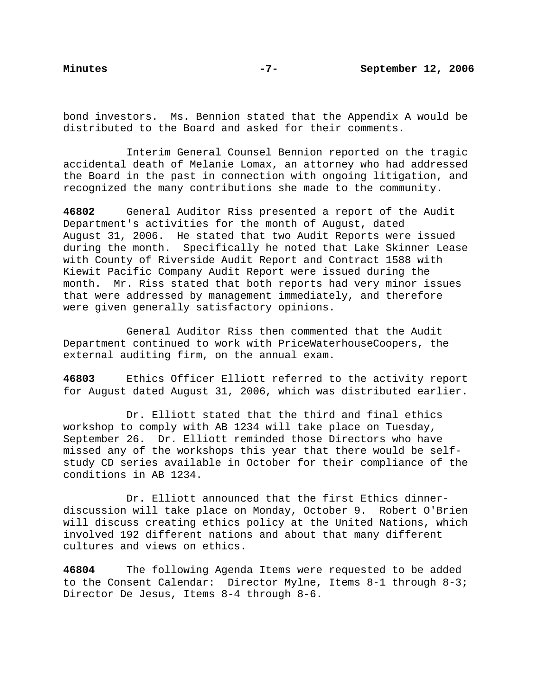bond investors. Ms. Bennion stated that the Appendix A would be distributed to the Board and asked for their comments.

Interim General Counsel Bennion reported on the tragic accidental death of Melanie Lomax, an attorney who had addressed the Board in the past in connection with ongoing litigation, and recognized the many contributions she made to the community.

**46802** General Auditor Riss presented a report of the Audit Department's activities for the month of August, dated August 31, 2006. He stated that two Audit Reports were issued during the month. Specifically he noted that Lake Skinner Lease with County of Riverside Audit Report and Contract 1588 with Kiewit Pacific Company Audit Report were issued during the month. Mr. Riss stated that both reports had very minor issues that were addressed by management immediately, and therefore were given generally satisfactory opinions.

 General Auditor Riss then commented that the Audit Department continued to work with PriceWaterhouseCoopers, the external auditing firm, on the annual exam.

**46803** Ethics Officer Elliott referred to the activity report for August dated August 31, 2006, which was distributed earlier.

 Dr. Elliott stated that the third and final ethics workshop to comply with AB 1234 will take place on Tuesday, September 26. Dr. Elliott reminded those Directors who have missed any of the workshops this year that there would be selfstudy CD series available in October for their compliance of the conditions in AB 1234.

 Dr. Elliott announced that the first Ethics dinnerdiscussion will take place on Monday, October 9. Robert O'Brien will discuss creating ethics policy at the United Nations, which involved 192 different nations and about that many different cultures and views on ethics.

**46804** The following Agenda Items were requested to be added to the Consent Calendar: Director Mylne, Items 8-1 through 8-3; Director De Jesus, Items 8-4 through 8-6.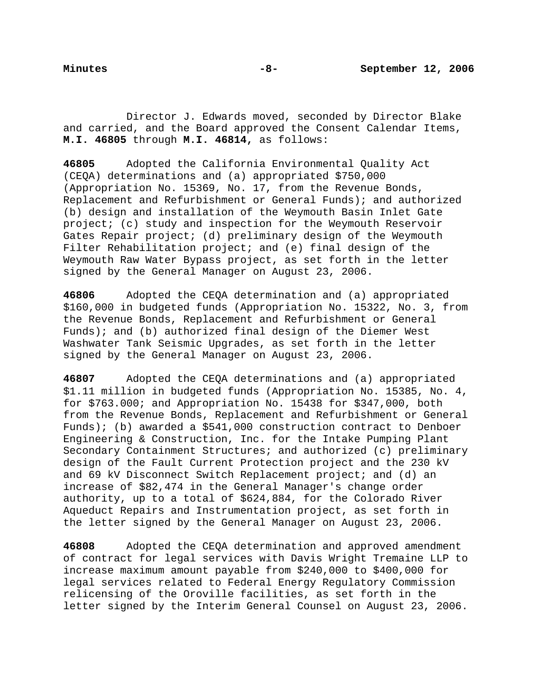Director J. Edwards moved, seconded by Director Blake and carried, and the Board approved the Consent Calendar Items, **M.I. 46805** through **M.I. 46814,** as follows:

**46805** Adopted the California Environmental Quality Act (CEQA) determinations and (a) appropriated \$750,000 (Appropriation No. 15369, No. 17, from the Revenue Bonds, Replacement and Refurbishment or General Funds); and authorized (b) design and installation of the Weymouth Basin Inlet Gate project; (c) study and inspection for the Weymouth Reservoir Gates Repair project; (d) preliminary design of the Weymouth Filter Rehabilitation project; and (e) final design of the Weymouth Raw Water Bypass project, as set forth in the letter signed by the General Manager on August 23, 2006.

**46806** Adopted the CEQA determination and (a) appropriated \$160,000 in budgeted funds (Appropriation No. 15322, No. 3, from the Revenue Bonds, Replacement and Refurbishment or General Funds); and (b) authorized final design of the Diemer West Washwater Tank Seismic Upgrades, as set forth in the letter signed by the General Manager on August 23, 2006.

**46807** Adopted the CEQA determinations and (a) appropriated \$1.11 million in budgeted funds (Appropriation No. 15385, No. 4, for \$763.000; and Appropriation No. 15438 for \$347,000, both from the Revenue Bonds, Replacement and Refurbishment or General Funds); (b) awarded a \$541,000 construction contract to Denboer Engineering & Construction, Inc. for the Intake Pumping Plant Secondary Containment Structures; and authorized (c) preliminary design of the Fault Current Protection project and the 230 kV and 69 kV Disconnect Switch Replacement project; and (d) an increase of \$82,474 in the General Manager's change order authority, up to a total of \$624,884, for the Colorado River Aqueduct Repairs and Instrumentation project, as set forth in the letter signed by the General Manager on August 23, 2006.

**46808** Adopted the CEQA determination and approved amendment of contract for legal services with Davis Wright Tremaine LLP to increase maximum amount payable from \$240,000 to \$400,000 for legal services related to Federal Energy Regulatory Commission relicensing of the Oroville facilities, as set forth in the letter signed by the Interim General Counsel on August 23, 2006.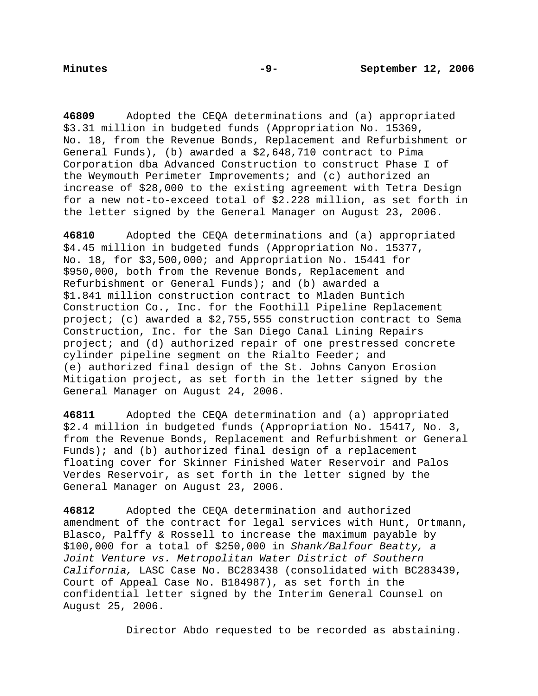**46809** Adopted the CEQA determinations and (a) appropriated \$3.31 million in budgeted funds (Appropriation No. 15369, No. 18, from the Revenue Bonds, Replacement and Refurbishment or General Funds), (b) awarded a \$2,648,710 contract to Pima Corporation dba Advanced Construction to construct Phase I of the Weymouth Perimeter Improvements; and (c) authorized an increase of \$28,000 to the existing agreement with Tetra Design for a new not-to-exceed total of \$2.228 million, as set forth in the letter signed by the General Manager on August 23, 2006.

**46810** Adopted the CEQA determinations and (a) appropriated \$4.45 million in budgeted funds (Appropriation No. 15377, No. 18, for \$3,500,000; and Appropriation No. 15441 for \$950,000, both from the Revenue Bonds, Replacement and Refurbishment or General Funds); and (b) awarded a \$1.841 million construction contract to Mladen Buntich Construction Co., Inc. for the Foothill Pipeline Replacement project; (c) awarded a \$2,755,555 construction contract to Sema Construction, Inc. for the San Diego Canal Lining Repairs project; and (d) authorized repair of one prestressed concrete cylinder pipeline segment on the Rialto Feeder; and (e) authorized final design of the St. Johns Canyon Erosion Mitigation project, as set forth in the letter signed by the General Manager on August 24, 2006.

**46811** Adopted the CEQA determination and (a) appropriated \$2.4 million in budgeted funds (Appropriation No. 15417, No. 3, from the Revenue Bonds, Replacement and Refurbishment or General Funds); and (b) authorized final design of a replacement floating cover for Skinner Finished Water Reservoir and Palos Verdes Reservoir, as set forth in the letter signed by the General Manager on August 23, 2006.

**46812** Adopted the CEQA determination and authorized amendment of the contract for legal services with Hunt, Ortmann, Blasco, Palffy & Rossell to increase the maximum payable by \$100,000 for a total of \$250,000 in *Shank/Balfour Beatty, a Joint Venture vs. Metropolitan Water District of Southern California,* LASC Case No. BC283438 (consolidated with BC283439, Court of Appeal Case No. B184987), as set forth in the confidential letter signed by the Interim General Counsel on August 25, 2006.

Director Abdo requested to be recorded as abstaining.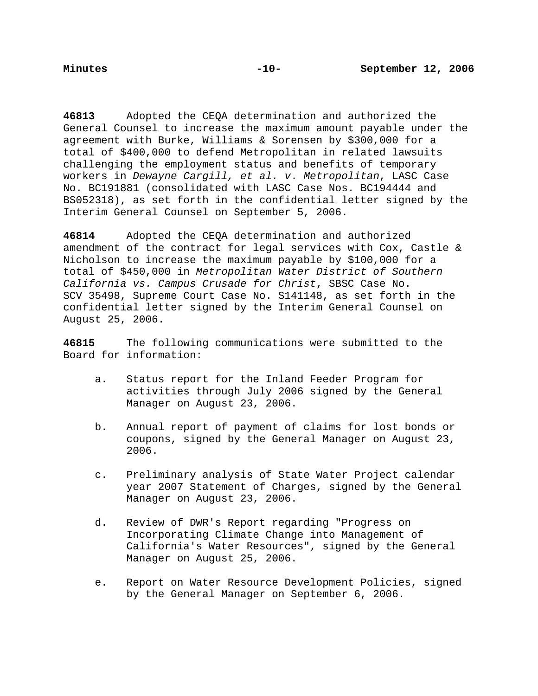**46813** Adopted the CEQA determination and authorized the General Counsel to increase the maximum amount payable under the agreement with Burke, Williams & Sorensen by \$300,000 for a total of \$400,000 to defend Metropolitan in related lawsuits challenging the employment status and benefits of temporary workers in *Dewayne Cargill, et al. v*. *Metropolitan*, LASC Case No. BC191881 (consolidated with LASC Case Nos. BC194444 and BS052318), as set forth in the confidential letter signed by the Interim General Counsel on September 5, 2006.

**46814** Adopted the CEQA determination and authorized amendment of the contract for legal services with Cox, Castle & Nicholson to increase the maximum payable by \$100,000 for a total of \$450,000 in *Metropolitan Water District of Southern California vs. Campus Crusade for Christ*, SBSC Case No. SCV 35498, Supreme Court Case No. S141148, as set forth in the confidential letter signed by the Interim General Counsel on August 25, 2006.

**46815** The following communications were submitted to the Board for information:

- a. Status report for the Inland Feeder Program for activities through July 2006 signed by the General Manager on August 23, 2006.
- b. Annual report of payment of claims for lost bonds or coupons, signed by the General Manager on August 23, 2006.
- c. Preliminary analysis of State Water Project calendar year 2007 Statement of Charges, signed by the General Manager on August 23, 2006.
- d. Review of DWR's Report regarding "Progress on Incorporating Climate Change into Management of California's Water Resources", signed by the General Manager on August 25, 2006.
- e. Report on Water Resource Development Policies, signed by the General Manager on September 6, 2006.